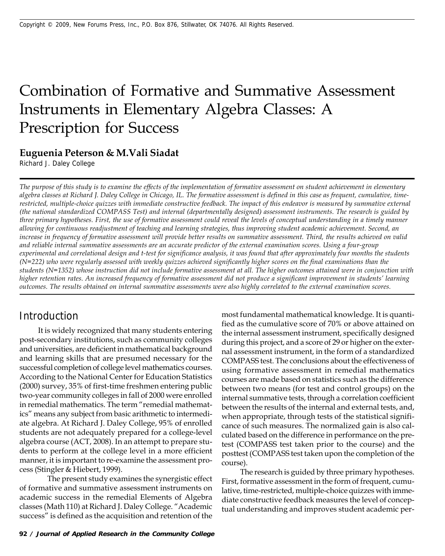# Combination of Formative and Summative Assessment Instruments in Elementary Algebra Classes: A Prescription for Success

# **Euguenia Peterson & M.Vali Siadat**

Richard J. Daley College

*The purpose of this study is to examine the effects of the implementation of formative assessment on student achievement in elementary algebra classes at Richard J. Daley College in Chicago, IL. The formative assessment is defined in this case as frequent, cumulative, timerestricted, multiple-choice quizzes with immediate constructive feedback. The impact of this endeavor is measured by summative external (the national standardized COMPASS Test) and internal (departmentally designed) assessment instruments. The research is guided by three primary hypotheses. First, the use of formative assessment could reveal the levels of conceptual understanding in a timely manner allowing for continuous readjustment of teaching and learning strategies, thus improving student academic achievement. Second, an increase in frequency of formative assessment will provide better results on summative assessment. Third, the results achieved on valid and reliable internal summative assessments are an accurate predictor of the external examination scores. Using a four-group experimental and correlational design and t-test for significance analysis, it was found that after approximately four months the students (N=222) who were regularly assessed with weekly quizzes achieved significantly higher scores on the final examinations than the students (N=1352) whose instruction did not include formative assessment at all. The higher outcomes attained were in conjunction with higher retention rates. An increased frequency of formative assessment did not produce a significant improvement in students' learning outcomes. The results obtained on internal summative assessments were also highly correlated to the external examination scores.*

# Introduction

It is widely recognized that many students entering post-secondary institutions, such as community colleges and universities, are deficient in mathematical background and learning skills that are presumed necessary for the successful completion of college level mathematics courses. According to the National Center for Education Statistics (2000) survey, 35% of first-time freshmen entering public two-year community colleges in fall of 2000 were enrolled in remedial mathematics. The term "remedial mathematics" means any subject from basic arithmetic to intermediate algebra. At Richard J. Daley College, 95% of enrolled students are not adequately prepared for a college-level algebra course (ACT, 2008). In an attempt to prepare students to perform at the college level in a more efficient manner, it is important to re-examine the assessment process (Stingler & Hiebert, 1999).

The present study examines the synergistic effect of formative and summative assessment instruments on academic success in the remedial Elements of Algebra classes (Math 110) at Richard J. Daley College. "Academic success" is defined as the acquisition and retention of the most fundamental mathematical knowledge. It is quantified as the cumulative score of 70% or above attained on the internal assessment instrument, specifically designed during this project, and a score of 29 or higher on the external assessment instrument, in the form of a standardized COMPASS test. The conclusions about the effectiveness of using formative assessment in remedial mathematics courses are made based on statistics such as the difference between two means (for test and control groups) on the internal summative tests, through a correlation coefficient between the results of the internal and external tests, and, when appropriate, through tests of the statistical significance of such measures. The normalized gain is also calculated based on the difference in performance on the pretest (COMPASS test taken prior to the course) and the posttest (COMPASS test taken upon the completion of the course).

The research is guided by three primary hypotheses. First, formative assessment in the form of frequent, cumulative, time-restricted, multiple-choice quizzes with immediate constructive feedback measures the level of conceptual understanding and improves student academic per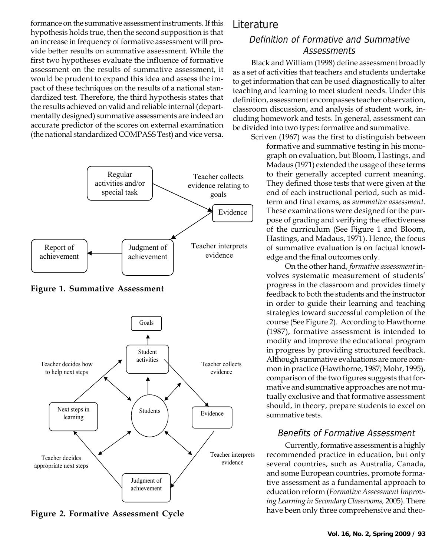formance on the summative assessment instruments. If this hypothesis holds true, then the second supposition is that an increase in frequency of formative assessment will provide better results on summative assessment. While the first two hypotheses evaluate the influence of formative assessment on the results of summative assessment, it would be prudent to expand this idea and assess the impact of these techniques on the results of a national standardized test. Therefore, the third hypothesis states that the results achieved on valid and reliable internal (departmentally designed) summative assessments are indeed an accurate predictor of the scores on external examination (the national standardized COMPASS Test) and vice versa.



**Figure 1. Summative Assessment**



**Figure 2. Formative Assessment Cycle**

# Literature

# Definition of Formative and Summative Assessments

Black and William (1998) define assessment broadly as a set of activities that teachers and students undertake to get information that can be used diagnostically to alter teaching and learning to meet student needs. Under this definition, assessment encompasses teacher observation, classroom discussion, and analysis of student work, including homework and tests. In general, assessment can be divided into two types: formative and summative.

Scriven (1967) was the first to distinguish between formative and summative testing in his monograph on evaluation, but Bloom, Hastings, and Madaus (1971) extended the usage of these terms to their generally accepted current meaning. They defined those tests that were given at the end of each instructional period, such as midterm and final exams, as *summative assessment*. These examinations were designed for the purpose of grading and verifying the effectiveness of the curriculum (See Figure 1 and Bloom, Hastings, and Madaus, 1971). Hence, the focus of summative evaluation is on factual knowledge and the final outcomes only.

On the other hand, *formative assessment* involves systematic measurement of students' progress in the classroom and provides timely feedback to both the students and the instructor in order to guide their learning and teaching strategies toward successful completion of the course (See Figure 2). According to Hawthorne (1987), formative assessment is intended to modify and improve the educational program in progress by providing structured feedback. Although summative evaluations are more common in practice (Hawthorne, 1987; Mohr, 1995), comparison of the two figures suggests that formative and summative approaches are not mutually exclusive and that formative assessment should, in theory, prepare students to excel on summative tests.

# Benefits of Formative Assessment

Currently, formative assessment is a highly recommended practice in education, but only several countries, such as Australia, Canada, and some European countries, promote formative assessment as a fundamental approach to education reform (*Formative Assessment Improving Learning in Secondary Classrooms,* 2005). There have been only three comprehensive and theo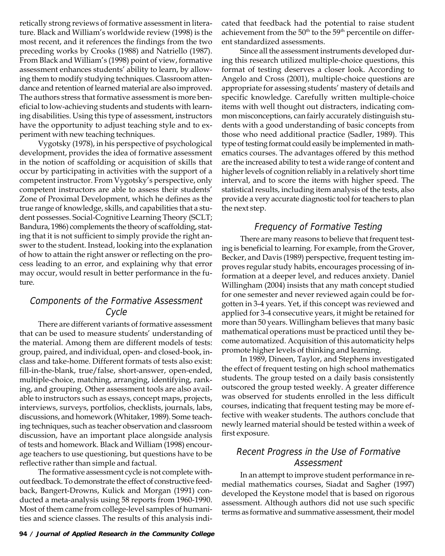retically strong reviews of formative assessment in literature. Black and William's worldwide review (1998) is the most recent, and it references the findings from the two preceding works by Crooks (1988) and Natriello (1987). From Black and William's (1998) point of view, formative assessment enhances students' ability to learn, by allowing them to modify studying techniques. Classroom attendance and retention of learned material are also improved. The authors stress that formative assessment is more beneficial to low-achieving students and students with learning disabilities. Using this type of assessment, instructors have the opportunity to adjust teaching style and to experiment with new teaching techniques.

Vygotsky (1978), in his perspective of psychological development, provides the idea of formative assessment in the notion of scaffolding or acquisition of skills that occur by participating in activities with the support of a competent instructor. From Vygotsky's perspective, only competent instructors are able to assess their students' Zone of Proximal Development, which he defines as the true range of knowledge, skills, and capabilities that a student possesses. Social-Cognitive Learning Theory (SCLT; Bandura, 1986) complements the theory of scaffolding, stating that it is not sufficient to simply provide the right answer to the student. Instead, looking into the explanation of how to attain the right answer or reflecting on the process leading to an error, and explaining why that error may occur, would result in better performance in the future.

# Components of the Formative Assessment Cycle

There are different variants of formative assessment that can be used to measure students' understanding of the material. Among them are different models of tests: group, paired, and individual, open- and closed-book, inclass and take-home. Different formats of tests also exist: fill-in-the-blank, true/false, short-answer, open-ended, multiple-choice, matching, arranging, identifying, ranking, and grouping. Other assessment tools are also available to instructors such as essays, concept maps, projects, interviews, surveys, portfolios, checklists, journals, labs, discussions, and homework (Whitaker, 1989). Some teaching techniques, such as teacher observation and classroom discussion, have an important place alongside analysis of tests and homework. Black and William (1998) encourage teachers to use questioning, but questions have to be reflective rather than simple and factual.

The formative assessment cycle is not complete without feedback. To demonstrate the effect of constructive feedback, Bangert-Drowns, Kulick and Morgan (1991) conducted a meta-analysis using 58 reports from 1960-1990. Most of them came from college-level samples of humanities and science classes. The results of this analysis indicated that feedback had the potential to raise student achievement from the  $50<sup>th</sup>$  to the  $59<sup>th</sup>$  percentile on different standardized assessments.

Since all the assessment instruments developed during this research utilized multiple-choice questions, this format of testing deserves a closer look. According to Angelo and Cross (2001), multiple-choice questions are appropriate for assessing students' mastery of details and specific knowledge. Carefully written multiple-choice items with well thought out distracters, indicating common misconceptions, can fairly accurately distinguish students with a good understanding of basic concepts from those who need additional practice (Sadler, 1989). This type of testing format could easily be implemented in mathematics courses. The advantages offered by this method are the increased ability to test a wide range of content and higher levels of cognition reliably in a relatively short time interval, and to score the items with higher speed. The statistical results, including item analysis of the tests, also provide a very accurate diagnostic tool for teachers to plan the next step.

#### Frequency of Formative Testing

There are many reasons to believe that frequent testing is beneficial to learning. For example, from the Grover, Becker, and Davis (1989) perspective, frequent testing improves regular study habits, encourages processing of information at a deeper level, and reduces anxiety. Daniel Willingham (2004) insists that any math concept studied for one semester and never reviewed again could be forgotten in 3-4 years. Yet, if this concept was reviewed and applied for 3-4 consecutive years, it might be retained for more than 50 years. Willingham believes that many basic mathematical operations must be practiced until they become automatized. Acquisition of this automaticity helps promote higher levels of thinking and learning.

In 1989, Dineen, Taylor, and Stephens investigated the effect of frequent testing on high school mathematics students. The group tested on a daily basis consistently outscored the group tested weekly. A greater difference was observed for students enrolled in the less difficult courses, indicating that frequent testing may be more effective with weaker students. The authors conclude that newly learned material should be tested within a week of first exposure.

# Recent Progress in the Use of Formative Assessment

In an attempt to improve student performance in remedial mathematics courses, Siadat and Sagher (1997) developed the Keystone model that is based on rigorous assessment. Although authors did not use such specific terms as formative and summative assessment, their model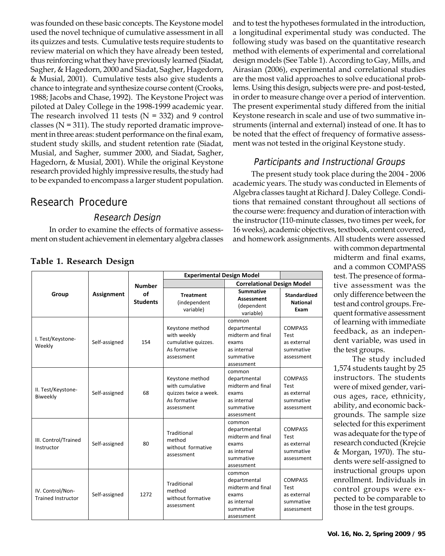was founded on these basic concepts. The Keystone model used the novel technique of cumulative assessment in all its quizzes and tests. Cumulative tests require students to review material on which they have already been tested, thus reinforcing what they have previously learned (Siadat, Sagher, & Hagedorn, 2000 and Siadat, Sagher, Hagedorn, & Musial, 2001). Cumulative tests also give students a chance to integrate and synthesize course content (Crooks, 1988; Jacobs and Chase, 1992). The Keystone Project was piloted at Daley College in the 1998-1999 academic year. The research involved 11 tests ( $N = 332$ ) and 9 control classes ( $N = 311$ ). The study reported dramatic improvement in three areas: student performance on the final exam, student study skills, and student retention rate (Siadat, Musial, and Sagher, summer 2000, and Siadat, Sagher, Hagedorn, & Musial, 2001). While the original Keystone research provided highly impressive results, the study had to be expanded to encompass a larger student population.

# Research Procedure

# Research Design

In order to examine the effects of formative assessment on student achievement in elementary algebra classes

|                                               |               |                       | Experimental Design Model                                                                 |                                                                                                |                                                                  |  |
|-----------------------------------------------|---------------|-----------------------|-------------------------------------------------------------------------------------------|------------------------------------------------------------------------------------------------|------------------------------------------------------------------|--|
|                                               |               | <b>Number</b>         |                                                                                           | <b>Correlational Design Model</b>                                                              |                                                                  |  |
| Group                                         | Assignment    | of<br><b>Students</b> | <b>Treatment</b><br>(independent<br>variable)                                             | <b>Summative</b><br>Assessment<br>(dependent<br>variable)                                      | <b>Standardized</b><br><b>National</b><br>Exam                   |  |
| I. Test/Keystone-<br>Weekly                   | Self-assigned | 154                   | Keystone method<br>with weekly<br>cumulative quizzes.<br>As formative<br>assessment       | common<br>departmental<br>midterm and final<br>exams<br>as internal<br>summative<br>assessment | <b>COMPASS</b><br>Test<br>as external<br>summative<br>assessment |  |
| II. Test/Keystone-<br>Biweekly                | Self-assigned | 68                    | Keystone method<br>with cumulative<br>quizzes twice a week.<br>As formative<br>assessment | common<br>departmental<br>midterm and final<br>exams<br>as internal<br>summative<br>assessment | <b>COMPASS</b><br>Test<br>as external<br>summative<br>assessment |  |
| III. Control/Trained<br>Instructor            | Self-assigned | 80                    | Traditional<br>method<br>without formative<br>assessment                                  | common<br>departmental<br>midterm and final<br>exams<br>as internal<br>summative<br>assessment | <b>COMPASS</b><br>Test<br>as external<br>summative<br>assessment |  |
| IV. Control/Non-<br><b>Trained Instructor</b> | Self-assigned | 1272                  | Traditional<br>method<br>without formative<br>assessment                                  | common<br>departmental<br>midterm and final<br>exams<br>as internal<br>summative<br>assessment | <b>COMPASS</b><br>Test<br>as external<br>summative<br>assessment |  |

**Experimental Design Model**

**Table 1. Research Design**

Г

and to test the hypotheses formulated in the introduction, a longitudinal experimental study was conducted. The following study was based on the quantitative research method with elements of experimental and correlational design models (See Table 1). According to Gay, Mills, and Airasian (2006), experimental and correlational studies are the most valid approaches to solve educational problems. Using this design, subjects were pre- and post-tested, in order to measure change over a period of intervention. The present experimental study differed from the initial Keystone research in scale and use of two summative instruments (internal and external) instead of one. It has to be noted that the effect of frequency of formative assessment was not tested in the original Keystone study.

# Participants and Instructional Groups

The present study took place during the 2004 - 2006 academic years. The study was conducted in Elements of Algebra classes taught at Richard J. Daley College. Conditions that remained constant throughout all sections of the course were: frequency and duration of interaction with the instructor (110-minute classes, two times per week, for 16 weeks), academic objectives, textbook, content covered, and homework assignments. All students were assessed

with common departmental midterm and final exams, and a common COMPASS test. The presence of formative assessment was the only difference between the test and control groups. Frequent formative assessment of learning with immediate feedback, as an independent variable, was used in the test groups.

The study included 1,574 students taught by 25 instructors. The students were of mixed gender, various ages, race, ethnicity, ability, and economic backgrounds. The sample size selected for this experiment was adequate for the type of research conducted (Krejcie & Morgan, 1970). The students were self-assigned to instructional groups upon enrollment. Individuals in control groups were expected to be comparable to those in the test groups.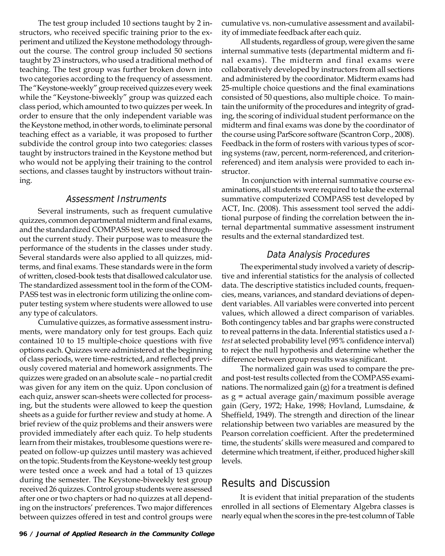The test group included 10 sections taught by 2 instructors, who received specific training prior to the experiment and utilized the Keystone methodology throughout the course. The control group included 50 sections taught by 23 instructors, who used a traditional method of teaching. The test group was further broken down into two categories according to the frequency of assessment. The "Keystone-weekly" group received quizzes every week while the "Keystone-biweekly" group was quizzed each class period, which amounted to two quizzes per week. In order to ensure that the only independent variable was the Keystone method, in other words, to eliminate personal teaching effect as a variable, it was proposed to further subdivide the control group into two categories: classes taught by instructors trained in the Keystone method but who would not be applying their training to the control sections, and classes taught by instructors without training.

#### Assessment Instruments

Several instruments, such as frequent cumulative quizzes, common departmental midterm and final exams, and the standardized COMPASS test, were used throughout the current study. Their purpose was to measure the performance of the students in the classes under study. Several standards were also applied to all quizzes, midterms, and final exams. These standards were in the form of written, closed-book tests that disallowed calculator use. The standardized assessment tool in the form of the COM-PASS test was in electronic form utilizing the online computer testing system where students were allowed to use any type of calculators.

Cumulative quizzes, as formative assessment instruments, were mandatory only for test groups. Each quiz contained 10 to 15 multiple-choice questions with five options each. Quizzes were administered at the beginning of class periods, were time-restricted, and reflected previously covered material and homework assignments. The quizzes were graded on an absolute scale – no partial credit was given for any item on the quiz. Upon conclusion of each quiz, answer scan-sheets were collected for processing, but the students were allowed to keep the question sheets as a guide for further review and study at home. A brief review of the quiz problems and their answers were provided immediately after each quiz. To help students learn from their mistakes, troublesome questions were repeated on follow-up quizzes until mastery was achieved on the topic. Students from the Keystone-weekly test group were tested once a week and had a total of 13 quizzes during the semester. The Keystone-biweekly test group received 26 quizzes. Control group students were assessed after one or two chapters or had no quizzes at all depending on the instructors' preferences. Two major differences between quizzes offered in test and control groups were

cumulative vs. non-cumulative assessment and availability of immediate feedback after each quiz.

All students, regardless of group, were given the same internal summative tests (departmental midterm and final exams). The midterm and final exams were collaboratively developed by instructors from all sections and administered by the coordinator. Midterm exams had 25-multiple choice questions and the final examinations consisted of 50 questions, also multiple choice. To maintain the uniformity of the procedures and integrity of grading, the scoring of individual student performance on the midterm and final exams was done by the coordinator of the course using ParScore software (Scantron Corp., 2008). Feedback in the form of rosters with various types of scoring systems (raw, percent, norm-referenced, and criterionreferenced) and item analysis were provided to each instructor.

 In conjunction with internal summative course examinations, all students were required to take the external summative computerized COMPASS test developed by ACT, Inc. (2008). This assessment tool served the additional purpose of finding the correlation between the internal departmental summative assessment instrument results and the external standardized test.

#### Data Analysis Procedures

The experimental study involved a variety of descriptive and inferential statistics for the analysis of collected data. The descriptive statistics included counts, frequencies, means, variances, and standard deviations of dependent variables. All variables were converted into percent values, which allowed a direct comparison of variables. Both contingency tables and bar graphs were constructed to reveal patterns in the data. Inferential statistics used a *ttest* at selected probability level (95% confidence interval) to reject the null hypothesis and determine whether the difference between group results was significant.

The normalized gain was used to compare the preand post-test results collected from the COMPASS examinations. The normalized gain (g) for a treatment is defined as g = actual average gain/maximum possible average gain (Gery, 1972; Hake, 1998; Hovland, Lumsdaine, & Sheffield, 1949). The strength and direction of the linear relationship between two variables are measured by the Pearson correlation coefficient. After the predetermined time, the students' skills were measured and compared to determine which treatment, if either, produced higher skill levels.

# Results and Discussion

It is evident that initial preparation of the students enrolled in all sections of Elementary Algebra classes is nearly equal when the scores in the pre-test column of Table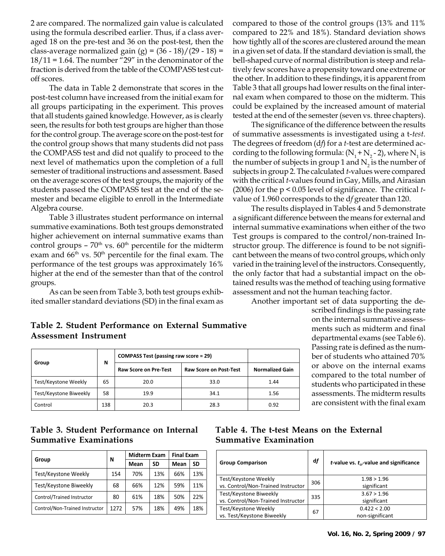2 are compared. The normalized gain value is calculated using the formula described earlier. Thus, if a class averaged 18 on the pre-test and 36 on the post-test, then the class-average normalized gain (g) =  $(36 - 18)/(29 - 18)$  =  $18/11 = 1.64$ . The number "29" in the denominator of the fraction is derived from the table of the COMPASS test cutoff scores.

The data in Table 2 demonstrate that scores in the post-test column have increased from the initial exam for all groups participating in the experiment. This proves that all students gained knowledge. However, as is clearly seen, the results for both test groups are higher than those for the control group. The average score on the post-test for the control group shows that many students did not pass the COMPASS test and did not qualify to proceed to the next level of mathematics upon the completion of a full semester of traditional instructions and assessment. Based on the average scores of the test groups, the majority of the students passed the COMPASS test at the end of the semester and became eligible to enroll in the Intermediate Algebra course.

Table 3 illustrates student performance on internal summative examinations. Both test groups demonstrated higher achievement on internal summative exams than control groups  $-70<sup>th</sup>$  vs. 60<sup>th</sup> percentile for the midterm exam and  $66<sup>th</sup>$  vs.  $50<sup>th</sup>$  percentile for the final exam. The performance of the test groups was approximately 16% higher at the end of the semester than that of the control groups.

As can be seen from Table 3, both test groups exhibited smaller standard deviations (SD) in the final exam as

compared to those of the control groups (13% and 11% compared to 22% and 18%). Standard deviation shows how tightly all of the scores are clustered around the mean in a given set of data. If the standard deviation is small, the bell-shaped curve of normal distribution is steep and relatively few scores have a propensity toward one extreme or the other. In addition to these findings, it is apparent from Table 3 that all groups had lower results on the final internal exam when compared to those on the midterm. This could be explained by the increased amount of material tested at the end of the semester (seven vs. three chapters).

The significance of the difference between the results of summative assessments is investigated using a t-*test.* The degrees of freedom (d*f*) for a *t-*test are determined according to the following formula:  $(N_1 + N_2 - 2)$ , where  $N_1$  is the number of subjects in group 1 and  $\mathrm{N}_2$  is the number of subjects in group 2. The calculated *t*-values were compared with the critical *t*-values found in Gay, Mills, and Airasian (2006) for the p < 0.05 level of significance. The critical *t*value of 1.960 corresponds to the d*f* greater than 120.

The results displayed in Tables 4 and 5 demonstrate a significant difference between the means for external and internal summative examinations when either of the two Test groups is compared to the control/non-trained Instructor group. The difference is found to be not significant between the means of two control groups, which only varied in the training level of the instructors. Consequently, the only factor that had a substantial impact on the obtained results was the method of teaching using formative assessment and not the human teaching factor.

Another important set of data supporting the de-

scribed findings is the passing rate on the internal summative assessments such as midterm and final departmental exams (see Table 6). Passing rate is defined as the number of students who attained 70% or above on the internal exams compared to the total number of students who participated in these assessments. The midterm results are consistent with the final exam

#### **Table 2. Student Performance on External Summative Assessment Instrument**

|                        | N   | <b>COMPASS Test (passing raw score = 29)</b> |                               |                        |
|------------------------|-----|----------------------------------------------|-------------------------------|------------------------|
| Group                  |     | <b>Raw Score on Pre-Test</b>                 | <b>Raw Score on Post-Test</b> | <b>Normalized Gain</b> |
| Test/Keystone Weekly   | 65  | 20.0                                         | 33.0                          | 1.44                   |
| Test/Keystone Biweekly | 58  | 19.9                                         | 34.1                          | 1.56                   |
| Control                | 138 | 20.3                                         | 28.3                          | 0.92                   |

### **Table 3. Student Performance on Internal Summative Examinations**

|                                | N    | <b>Midterm Exam</b> |           | <b>Final Exam</b> |           |
|--------------------------------|------|---------------------|-----------|-------------------|-----------|
| Group                          |      | Mean                | <b>SD</b> | Mean              | <b>SD</b> |
| Test/Keystone Weekly           | 154  | 70%                 | 13%       | 66%               | 13%       |
| Test/Keystone Biweekly         | 68   | 66%                 | 12%       | 59%               | 11%       |
| Control/Trained Instructor     | 80   | 61%                 | 18%       | 50%               | 22%       |
| Control/Non-Trained Instructor | 1272 | 57%                 | 18%       | 49%               | 18%       |

#### **Table 4. The t-test Means on the External Summative Examination**

| <b>Group Comparison</b>            | df  | t-value vs. $t_{cr}$ -value and significance |
|------------------------------------|-----|----------------------------------------------|
| Test/Keystone Weekly               | 306 | 1.98 > 1.96                                  |
| vs. Control/Non-Trained Instructor |     | significant                                  |
| Test/Keystone Biweekly             | 335 | 3.67 > 1.96                                  |
| vs. Control/Non-Trained Instructor |     | significant                                  |
| Test/Keystone Weekly               |     | 0.422 < 2.00                                 |
| vs. Test/Keystone Biweekly         | 67  | non-significant                              |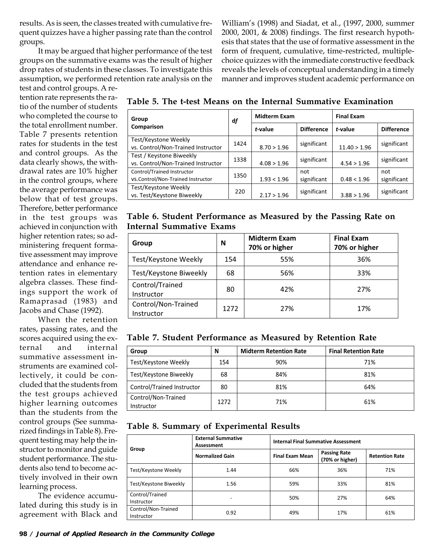results. As is seen, the classes treated with cumulative frequent quizzes have a higher passing rate than the control groups.

It may be argued that higher performance of the test groups on the summative exams was the result of higher drop rates of students in these classes. To investigate this assumption, we performed retention rate analysis on the

William's (1998) and Siadat, et al., (1997, 2000, summer 2000, 2001, & 2008) findings. The first research hypothesis that states that the use of formative assessment in the form of frequent, cumulative, time-restricted, multiplechoice quizzes with the immediate constructive feedback reveals the levels of conceptual understanding in a timely manner and improves student academic performance on

test and control groups. A retention rate represents the ratio of the number of students who completed the course to the total enrollment number. Table 7 presents retention rates for students in the test and control groups. As the data clearly shows, the withdrawal rates are 10% higher in the control groups, where the average performance was below that of test groups. Therefore, better performance in the test groups was achieved in conjunction with higher retention rates; so administering frequent formative assessment may improve attendance and enhance retention rates in elementary algebra classes. These findings support the work of Ramaprasad (1983) and Jacobs and Chase (1992).

When the retention rates, passing rates, and the scores acquired using the external and internal summative assessment instruments are examined collectively, it could be concluded that the students from the test groups achieved higher learning outcomes than the students from the control groups (See summarized findings in Table 8). Frequent testing may help the instructor to monitor and guide student performance. The students also tend to become actively involved in their own learning process.

The evidence accumulated during this study is in agreement with Black and

| Table 5. The t-test Means on the Internal Summative Examination |  |
|-----------------------------------------------------------------|--|
|-----------------------------------------------------------------|--|

| Group                                                           | df   | <b>Midterm Exam</b> |                    | <b>Final Exam</b> |                    |
|-----------------------------------------------------------------|------|---------------------|--------------------|-------------------|--------------------|
| Comparison                                                      |      | t-value             | <b>Difference</b>  | t-value           | <b>Difference</b>  |
| Test/Keystone Weekly<br>vs. Control/Non-Trained Instructor      | 1424 | 8.70 > 1.96         | significant        | 11.40 > 1.96      | significant        |
| Test / Keystone Biweekly<br>vs. Control/Non-Trained Instructor  | 1338 | 4.08 > 1.96         | significant        | 4.54 > 1.96       | significant        |
| Control/Trained Instructor<br>vs.Control/Non-Trained Instructor | 1350 | 1.93 < 1.96         | not<br>significant | 0.48 < 1.96       | not<br>significant |
| Test/Keystone Weekly<br>vs. Test/Keystone Biweekly              | 220  | 2.17 > 1.96         | significant        | 3.88 > 1.96       | significant        |

#### **Table 6. Student Performance as Measured by the Passing Rate on Internal Summative Exams**

| Group                             | N    | <b>Midterm Exam</b><br>70% or higher | <b>Final Exam</b><br>70% or higher |
|-----------------------------------|------|--------------------------------------|------------------------------------|
| Test/Keystone Weekly              | 154  | 55%                                  | 36%                                |
| Test/Keystone Biweekly            | 68   | 56%                                  | 33%                                |
| Control/Trained<br>Instructor     | 80   | 42%                                  | 27%                                |
| Control/Non-Trained<br>Instructor | 1272 | 27%                                  | 17%                                |

**Table 7. Student Performance as Measured by Retention Rate**

| Group                             | N    | <b>Midterm Retention Rate</b> | <b>Final Retention Rate</b> |
|-----------------------------------|------|-------------------------------|-----------------------------|
| Test/Keystone Weekly              | 154  | 90%                           | 71%                         |
| Test/Keystone Biweekly            | 68   | 84%                           | 81%                         |
| Control/Trained Instructor        | 80   | 81%                           | 64%                         |
| Control/Non-Trained<br>Instructor | 1272 | 71%                           | 61%                         |

#### **Table 8. Summary of Experimental Results**

| Group                             | <b>External Summative</b><br>Assessment | <b>Internal Final Summative Assessment</b> |                                        |                       |  |
|-----------------------------------|-----------------------------------------|--------------------------------------------|----------------------------------------|-----------------------|--|
|                                   | <b>Normalized Gain</b>                  | <b>Final Exam Mean</b>                     | <b>Passing Rate</b><br>(70% or higher) | <b>Retention Rate</b> |  |
| Test/Keystone Weekly              | 1.44                                    | 66%                                        | 36%                                    | 71%                   |  |
| Test/Keystone Biweekly            | 1.56                                    | 59%                                        | 33%                                    | 81%                   |  |
| Control/Trained<br>Instructor     |                                         | 50%                                        | 27%                                    | 64%                   |  |
| Control/Non-Trained<br>Instructor | 0.92                                    | 49%                                        | 17%                                    | 61%                   |  |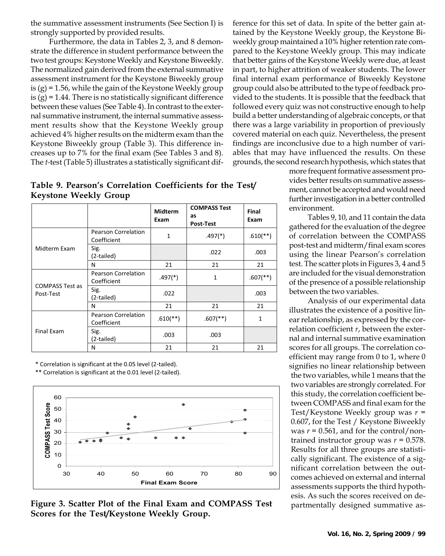the summative assessment instruments (See Section I) is strongly supported by provided results.

Furthermore, the data in Tables 2, 3, and 8 demonstrate the difference in student performance between the two test groups: Keystone Weekly and Keystone Biweekly. The normalized gain derived from the external summative assessment instrument for the Keystone Biweekly group is  $(g)$  = 1.56, while the gain of the Keystone Weekly group is  $(g)$  = 1.44. There is no statistically significant difference between these values (See Table 4). In contrast to the external summative instrument, the internal summative assessment results show that the Keystone Weekly group achieved 4% higher results on the midterm exam than the Keystone Biweekly group (Table 3). This difference increases up to 7% for the final exam (See Tables 3 and 8). The *t-*test (Table 5) illustrates a statistically significant difference for this set of data. In spite of the better gain attained by the Keystone Weekly group, the Keystone Biweekly group maintained a 10% higher retention rate compared to the Keystone Weekly group. This may indicate that better gains of the Keystone Weekly were due, at least in part, to higher attrition of weaker students. The lower final internal exam performance of Biweekly Keystone group could also be attributed to the type of feedback provided to the students. It is possible that the feedback that followed every quiz was not constructive enough to help build a better understanding of algebraic concepts, or that there was a large variability in proportion of previously covered material on each quiz. Nevertheless, the present findings are inconclusive due to a high number of variables that may have influenced the results. On these grounds, the second research hypothesis, which states that

more frequent formative assessment provides better results on summative assessment, cannot be accepted and would need further investigation in a better controlled environment.

Tables 9, 10, and 11 contain the data gathered for the evaluation of the degree of correlation between the COMPASS post-test and midterm/final exam scores using the linear Pearson's correlation test. The scatter plots in Figures 3, 4 and 5 are included for the visual demonstration of the presence of a possible relationship between the two variables.

Analysis of our experimental data illustrates the existence of a positive linear relationship, as expressed by the correlation coefficient *r*, between the external and internal summative examination scores for all groups. The correlation coefficient may range from 0 to 1, where 0 signifies no linear relationship between the two variables, while 1 means that the two variables are strongly correlated. For this study, the correlation coefficient between COMPASS and final exam for the Test/Keystone Weekly group was *r* = 0.607, for the Test / Keystone Biweekly was  $r = 0.561$ , and for the control/nontrained instructor group was *r* = 0.578. Results for all three groups are statistically significant. The existence of a significant correlation between the outcomes achieved on external and internal assessments supports the third hypothesis. As such the scores received on departmentally designed summative as-

**Table 9. Pearson's Correlation Coefficients for the Test/ Keystone Weekly Group**

|                                     |                                           | <b>Midterm</b><br>Exam | <b>COMPASS Test</b><br>as<br>Post-Test | Final<br>Exam            |
|-------------------------------------|-------------------------------------------|------------------------|----------------------------------------|--------------------------|
|                                     | <b>Pearson Correlation</b><br>Coefficient | $\mathbf{1}$           | $.497(*)$                              | $.610$ <sup>**</sup> )   |
| Midterm Exam                        | Sig.<br>(2-tailed)                        |                        | .022                                   | .003                     |
|                                     | N                                         | 21                     | 21                                     | 21                       |
|                                     | <b>Pearson Correlation</b><br>Coefficient | $.497(*)$              | $\mathbf{1}$                           | $.607$ <sup>(**)</sup> ) |
| <b>COMPASS Test as</b><br>Post-Test | Sig.<br>(2-tailed)                        | .022                   |                                        | .003                     |
|                                     | N                                         | 21                     | 21                                     | 21                       |
|                                     | Pearson Correlation<br>Coefficient        | $.610$ <sup>**</sup> ) | $.607$ <sup>(**)</sup> )               | 1                        |
| <b>Final Exam</b>                   | Sig.<br>(2-tailed)                        | .003                   | .003                                   |                          |
|                                     | N                                         | 21                     | 21                                     | 21                       |

\* Correlation is significant at the 0.05 level (2-tailed).

\*\* Correlation is significant at the 0.01 level (2-tailed).



**Figure 3. Scatter Plot of the Final Exam and COMPASS Test Scores for the Test/Keystone Weekly Group.**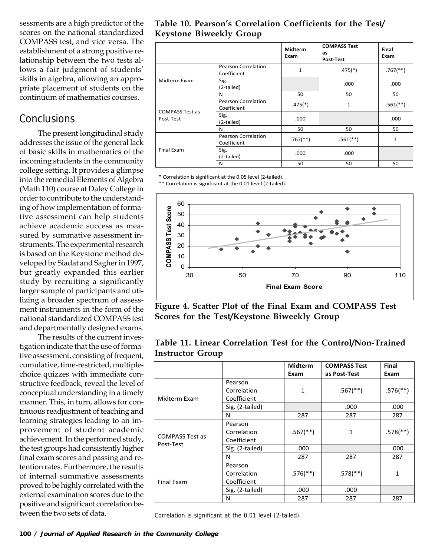sessments are a high predictor of the scores on the national standardized COMPASS test, and vice versa. The establishment of a strong positive relationship between the two tests allows a fair judgment of students' skills in algebra, allowing an appropriate placement of students on the continuum of mathematics courses.

# **Conclusions**

The present longitudinal study addresses the issue of the general lack of basic skills in mathematics of the incoming students in the community college setting. It provides a glimpse into the remedial Elements of Algebra (Math 110) course at Daley College in order to contribute to the understanding of how implementation of formative assessment can help students achieve academic success as measured by summative assessment instruments. The experimental research is based on the Keystone method developed by Siadat and Sagher in 1997, but greatly expanded this earlier study by recruiting a significantly larger sample of participants and utilizing a broader spectrum of assessment instruments in the form of the national standardized COMPASS test and departmentally designed exams.

The results of the current investigation indicate that the use of formative assessment, consisting of frequent, cumulative, time-restricted, multiplechoice quizzes with immediate constructive feedback, reveal the level of conceptual understanding in a timely manner. This, in turn, allows for continuous readjustment of teaching and learning strategies leading to an improvement of student academic achievement. In the performed study, the test groups had consistently higher final exam scores and passing and retention rates. Furthermore, the results of internal summative assessments proved to be highly correlated with the external examination scores due to the positive and significant correlation between the two sets of data.

|                                | Table 10. Pearson's Correlation Coefficients for the Test/ |  |  |
|--------------------------------|------------------------------------------------------------|--|--|
| <b>Keystone Biweekly Group</b> |                                                            |  |  |

|                                     |                                           | <b>Midterm</b><br>Exam | <b>COMPASS Test</b><br>as<br>Post-Test | Final<br>Exam          |
|-------------------------------------|-------------------------------------------|------------------------|----------------------------------------|------------------------|
|                                     | <b>Pearson Correlation</b><br>Coefficient | 1                      | $.475(*)$                              | $.767$ <sup>**</sup> ) |
| Midterm Exam                        | Sig.<br>(2-tailed)                        |                        | .000                                   | .000                   |
|                                     | N                                         | 50                     | 50                                     | 50                     |
| <b>COMPASS Test as</b><br>Post-Test | Pearson Correlation<br>Coefficient        | $.475(*)$              | 1                                      | $.561$ <sup>**</sup> ) |
|                                     | Sig.<br>(2-tailed)                        | .000                   |                                        | .000                   |
|                                     | N                                         | 50                     | 50                                     | 50                     |
|                                     | Pearson Correlation<br>Coefficient        | $.767$ <sup>**</sup> ) | $.561$ <sup>**</sup> )                 | 1                      |
| Final Exam                          | Sig.<br>(2-tailed)                        | .000                   | .000                                   |                        |
|                                     | N                                         | 50                     | 50                                     | 50                     |

\* Correlation is significant at the 0.05 level (2-tailed).

\*\* Correlation is significant at the 0.01 level (2-tailed).



**Figure 4. Scatter Plot of the Final Exam and COMPASS Test Scores for the Test/Keystone Biweekly Group**

|                                     |                 | <b>Midterm</b>           | <b>COMPASS Test</b>      | Final                    |
|-------------------------------------|-----------------|--------------------------|--------------------------|--------------------------|
|                                     |                 | Exam                     | as Post-Test             | Exam                     |
| Midterm Exam                        | Pearson         |                          |                          |                          |
|                                     | Correlation     | $\mathbf{1}$             | $.567$ <sup>(**)</sup> ) | $.576$ <sup>**</sup> )   |
|                                     | Coefficient     |                          |                          |                          |
|                                     | Sig. (2-tailed) |                          | .000                     | .000                     |
|                                     | N               | 287                      | 287                      | 287                      |
| <b>COMPASS Test as</b><br>Post-Test | Pearson         |                          |                          |                          |
|                                     | Correlation     | $.567$ <sup>(**)</sup> ) | 1                        | $.578$ <sup>(**)</sup> ) |
|                                     | Coefficient     |                          |                          |                          |
|                                     | Sig. (2-tailed) | .000                     |                          | .000                     |
|                                     | N               | 287                      | 287                      | 287                      |
| <b>Final Exam</b>                   | Pearson         |                          |                          |                          |
|                                     | Correlation     | $.576$ <sup>(**)</sup> ) | $.578$ <sup>**</sup> )   | $\mathbf{1}$             |
|                                     | Coefficient     |                          |                          |                          |
|                                     | Sig. (2-tailed) | .000                     | .000                     |                          |
|                                     | N               | 287                      | 287                      | 287                      |

**Table 11. Linear Correlation Test for the Control/Non-Trained Instructor Group**

Correlation is significant at the 0.01 level (2-tailed).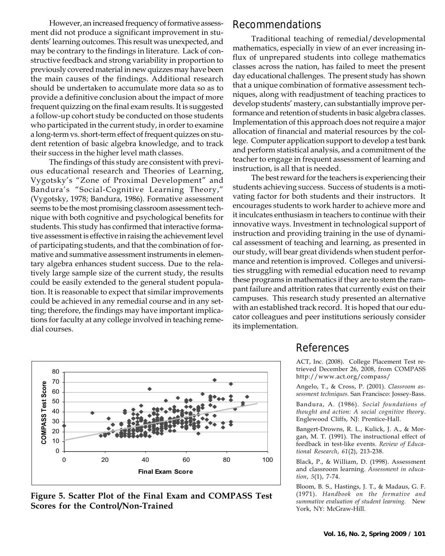However, an increased frequency of formative assessment did not produce a significant improvement in students' learning outcomes. This result was unexpected, and may be contrary to the findings in literature. Lack of constructive feedback and strong variability in proportion to previously covered material in new quizzes may have been the main causes of the findings. Additional research should be undertaken to accumulate more data so as to provide a definitive conclusion about the impact of more frequent quizzing on the final exam results. It is suggested a follow-up cohort study be conducted on those students who participated in the current study, in order to examine a long-term vs. short-term effect of frequent quizzes on student retention of basic algebra knowledge, and to track their success in the higher level math classes.

The findings of this study are consistent with previous educational research and Theories of Learning, Vygotsky's "Zone of Proximal Development" and Bandura's "Social-Cognitive Learning Theory," (Vygotsky, 1978; Bandura, 1986). Formative assessment seems to be the most promising classroom assessment technique with both cognitive and psychological benefits for students. This study has confirmed that interactive formative assessment is effective in raising the achievement level of participating students, and that the combination of formative and summative assessment instruments in elementary algebra enhances student success. Due to the relatively large sample size of the current study, the results could be easily extended to the general student population. It is reasonable to expect that similar improvements could be achieved in any remedial course and in any setting; therefore, the findings may have important implications for faculty at any college involved in teaching remedial courses.



Traditional teaching of remedial/developmental mathematics, especially in view of an ever increasing influx of unprepared students into college mathematics classes across the nation, has failed to meet the present day educational challenges. The present study has shown that a unique combination of formative assessment techniques, along with readjustment of teaching practices to develop students' mastery, can substantially improve performance and retention of students in basic algebra classes. Implementation of this approach does not require a major allocation of financial and material resources by the college. Computer application support to develop a test bank and perform statistical analysis, and a commitment of the teacher to engage in frequent assessment of learning and instruction, is all that is needed.

The best reward for the teachers is experiencing their students achieving success. Success of students is a motivating factor for both students and their instructors. It encourages students to work harder to achieve more and it inculcates enthusiasm in teachers to continue with their innovative ways. Investment in technological support of instruction and providing training in the use of dynamical assessment of teaching and learning, as presented in our study, will bear great dividends when student performance and retention is improved. Colleges and universities struggling with remedial education need to revamp these programs in mathematics if they are to stem the rampant failure and attrition rates that currently exist on their campuses. This research study presented an alternative with an established track record. It is hoped that our educator colleagues and peer institutions seriously consider its implementation.



**Figure 5. Scatter Plot of the Final Exam and COMPASS Test Scores for the Control/Non-Trained**

# References

ACT, Inc. (2008). College Placement Test retrieved December 26, 2008, from COMPASS http://www.act.org/compass/

Angelo, T., & Cross, P. (2001). *Classroom assessment techniques.* San Francisco: Jossey-Bass.

Bandura, A. (1986). *Social foundations of thought and action: A social cognitive theory*. Englewood Cliffs, NJ: Prentice-Hall.

Bangert-Drowns, R. L., Kulick, J. A., & Morgan, M. T. (1991). The instructional effect of feedback in test-like events. *Review of Educational Research*, *61*(2), 213-238.

Black, P., & William, D. (1998). Assessment and classroom learning. *Assessment in education*, *5*(1), 7-74.

Bloom, B. S., Hastings, J. T., & Madaus, G. F. (1971). *Handbook on the formative and summative evaluation of student learning.* New York, NY: McGraw-Hill.